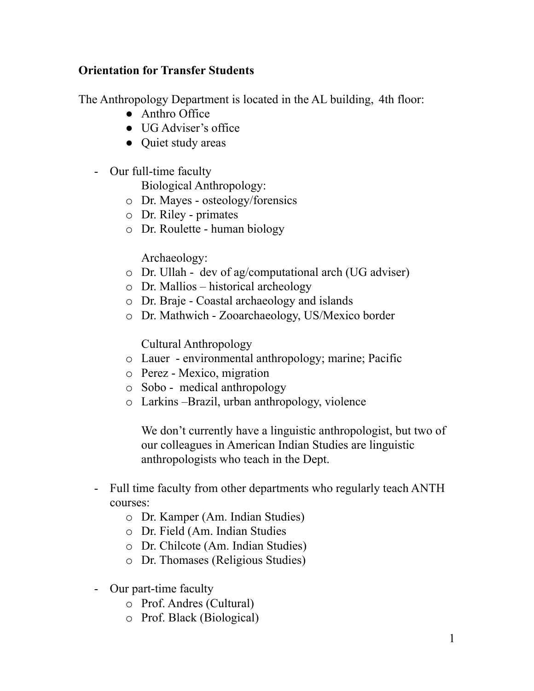### **Orientation for Transfer Students**

The Anthropology Department is located in the AL building, 4th floor:

- Anthro Office
- UG Adviser's office
- Quiet study areas
- - Our full-time faculty
	- Biological Anthropology:
	- o Dr. Mayes osteology/forensics
	- o Dr. Riley primates
	- o Dr. Roulette human biology

Archaeology:

- o Dr. Ullah dev of ag/computational arch (UG adviser)
- o Dr. Mallios historical archeology
- o Dr. Braje Coastal archaeology and islands
- o Dr. Mathwich Zooarchaeology, US/Mexico border

Cultural Anthropology

- o Lauer environmental anthropology; marine; Pacific
- o Perez Mexico, migration
- o Sobo medical anthropology
- o Larkins –Brazil, urban anthropology, violence

 We don't currently have a linguistic anthropologist, but two of our colleagues in American Indian Studies are linguistic anthropologists who teach in the Dept.

- - Full time faculty from other departments who regularly teach ANTH courses:
	- o Dr. Kamper (Am. Indian Studies)
	- o Dr. Field (Am. Indian Studies
	- o Dr. Chilcote (Am. Indian Studies)
	- o Dr. Thomases (Religious Studies)
- - Our part-time faculty
	- o Prof. Andres (Cultural)
	- o Prof. Black (Biological)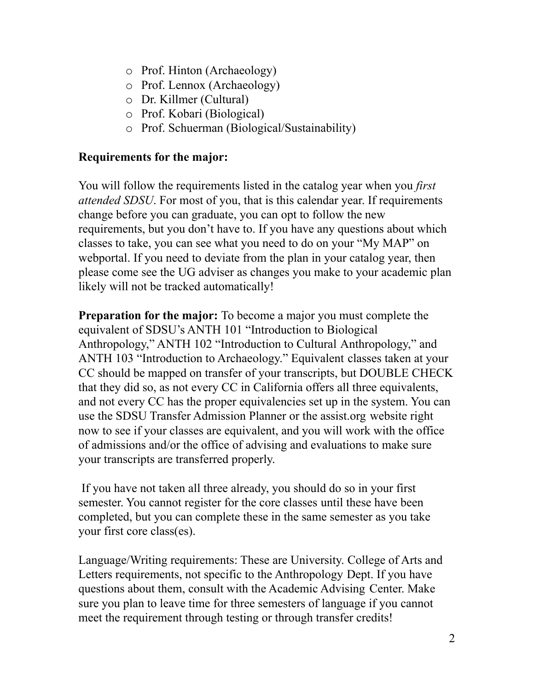- o Prof. Hinton (Archaeology)
- o Prof. Lennox (Archaeology)
- o Dr. Killmer (Cultural)
- o Prof. Kobari (Biological)
- o Prof. Schuerman (Biological/Sustainability)

#### **Requirements for the major:**

 You will follow the requirements listed in the catalog year when you *first attended SDSU*. For most of you, that is this calendar year. If requirements change before you can graduate, you can opt to follow the new requirements, but you don't have to. If you have any questions about which classes to take, you can see what you need to do on your "My MAP" on webportal. If you need to deviate from the plan in your catalog year, then please come see the UG adviser as changes you make to your academic plan likely will not be tracked automatically!

**Preparation for the major:** To become a major you must complete the equivalent of SDSU's ANTH 101 "Introduction to Biological Anthropology," ANTH 102 "Introduction to Cultural Anthropology," and ANTH 103 "Introduction to Archaeology." Equivalent classes taken at your CC should be mapped on transfer of your transcripts, but DOUBLE CHECK that they did so, as not every CC in California offers all three equivalents, and not every CC has the proper equivalencies set up in the system. You can use the SDSU Transfer Admission Planner or the [assist.org](https://assist.org) website right now to see if your classes are equivalent, and you will work with the office of admissions and/or the office of advising and evaluations to make sure your transcripts are transferred properly.

 If you have not taken all three already, you should do so in your first semester. You cannot register for the core classes until these have been completed, but you can complete these in the same semester as you take your first core class(es).

 Language/Writing requirements: These are University. College of Arts and Letters requirements, not specific to the Anthropology Dept. If you have questions about them, consult with the Academic Advising Center. Make sure you plan to leave time for three semesters of language if you cannot meet the requirement through testing or through transfer credits!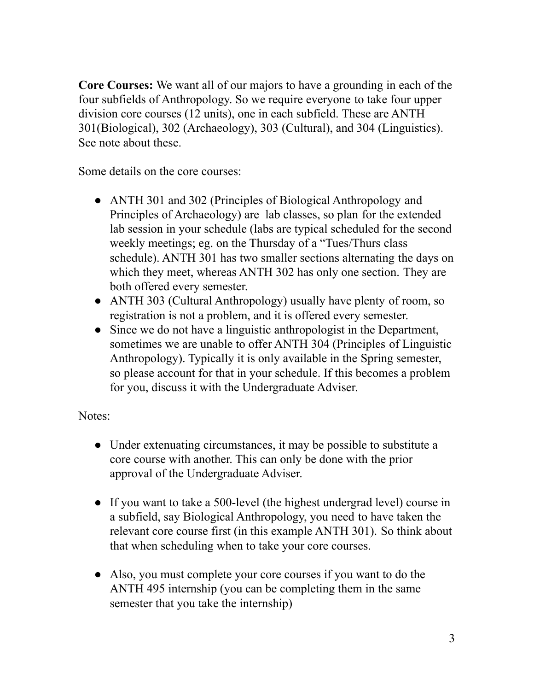**Core Courses:** We want all of our majors to have a grounding in each of the four subfields of Anthropology. So we require everyone to take four upper division core courses (12 units), one in each subfield. These are ANTH 301(Biological), 302 (Archaeology), 303 (Cultural), and 304 (Linguistics). See note about these.

Some details on the core courses:

- ● ANTH 301 and 302 (Principles of Biological Anthropology and Principles of Archaeology) are lab classes, so plan for the extended lab session in your schedule (labs are typical scheduled for the second weekly meetings; eg. on the Thursday of a "Tues/Thurs class schedule). ANTH 301 has two smaller sections alternating the days on which they meet, whereas ANTH 302 has only one section. They are both offered every semester.
- ● ANTH 303 (Cultural Anthropology) usually have plenty of room, so registration is not a problem, and it is offered every semester.
- ● Since we do not have a linguistic anthropologist in the Department, sometimes we are unable to offer ANTH 304 (Principles of Linguistic Anthropology). Typically it is only available in the Spring semester, so please account for that in your schedule. If this becomes a problem for you, discuss it with the Undergraduate Adviser.

Notes:

- ● Under extenuating circumstances, it may be possible to substitute a core course with another. This can only be done with the prior approval of the Undergraduate Adviser.
- ● If you want to take a 500-level (the highest undergrad level) course in a subfield, say Biological Anthropology, you need to have taken the relevant core course first (in this example ANTH 301). So think about that when scheduling when to take your core courses.
- ● Also, you must complete your core courses if you want to do the ANTH 495 internship (you can be completing them in the same semester that you take the internship)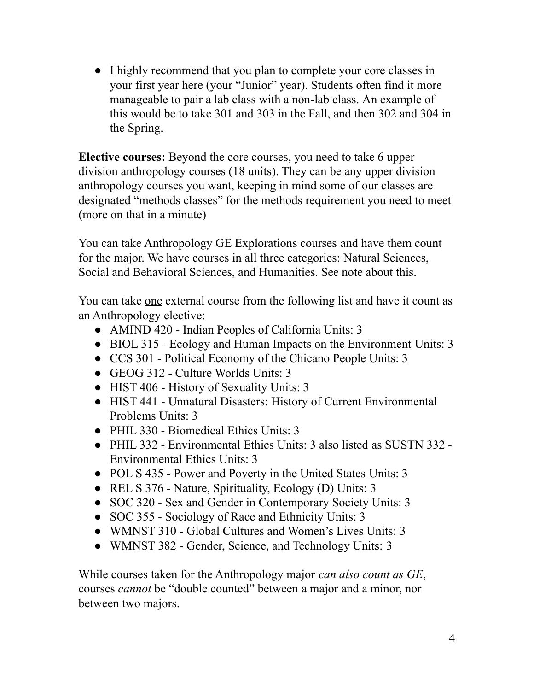● I highly recommend that you plan to complete your core classes in your first year here (your "Junior" year). Students often find it more manageable to pair a lab class with a non-lab class. An example of this would be to take 301 and 303 in the Fall, and then 302 and 304 in the Spring.

**Elective courses:** Beyond the core courses, you need to take 6 upper division anthropology courses (18 units). They can be any upper division anthropology courses you want, keeping in mind some of our classes are designated "methods classes" for the methods requirement you need to meet (more on that in a minute)

You can take Anthropology GE Explorations courses and have them count for the major. We have courses in all three categories: Natural Sciences, Social and Behavioral Sciences, and Humanities. See note about this.

You can take <u>one</u> external course from the following list and have it count as an Anthropology elective:

- AMIND 420 Indian Peoples of California Units: 3
- BIOL 315 Ecology and Human Impacts on the Environment Units: 3
- CCS 301 Political Economy of the Chicano People Units: 3
- GEOG 312 Culture Worlds Units: 3
- HIST 406 History of Sexuality Units: 3
- HIST 441 Unnatural Disasters: History of Current Environmental Problems Units: 3
- PHIL 330 Biomedical Ethics Units: 3
- PHIL 332 Environmental Ethics Units: 3 also listed as SUSTN 332 Environmental Ethics Units: 3
- POL S 435 Power and Poverty in the United States Units: 3
- REL S 376 Nature, Spirituality, Ecology (D) Units: 3
- SOC 320 Sex and Gender in Contemporary Society Units: 3
- SOC 355 Sociology of Race and Ethnicity Units: 3
- WMNST 310 Global Cultures and Women's Lives Units: 3
- WMNST 382 Gender, Science, and Technology Units: 3

While courses taken for the Anthropology major *can also count as GE*, courses *cannot* be "double counted" between a major and a minor, nor between two majors.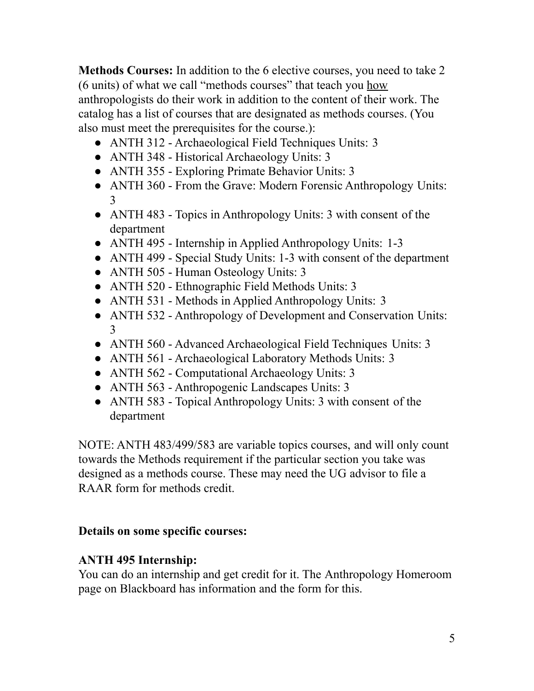**Methods Courses:** In addition to the 6 elective courses, you need to take 2 (6 units) of what we call "methods courses" that teach you how anthropologists do their work in addition to the content of their work. The catalog has a list of courses that are designated as methods courses. (You also must meet the prerequisites for the course.):

- ANTH 312 Archaeological Field Techniques Units: 3
- ANTH 348 Historical Archaeology Units: 3
- ANTH 355 Exploring Primate Behavior Units: 3
- ● ANTH 360 From the Grave: Modern Forensic Anthropology Units: 3
- ● ANTH 483 Topics in Anthropology Units: 3 with consent of the department
- ANTH 495 Internship in Applied Anthropology Units: 1-3
- ANTH 499 Special Study Units: 1-3 with consent of the department
- ANTH 505 Human Osteology Units: 3
- ANTH 520 Ethnographic Field Methods Units: 3
- ANTH 531 Methods in Applied Anthropology Units: 3
- ● ANTH 532 Anthropology of Development and Conservation Units: 3
- ANTH 560 Advanced Archaeological Field Techniques Units: 3
- ANTH 561 Archaeological Laboratory Methods Units: 3
- ANTH 562 Computational Archaeology Units: 3
- ANTH 563 Anthropogenic Landscapes Units: 3
- ANTH 583 Topical Anthropology Units: 3 with consent of the department

 NOTE: ANTH 483/499/583 are variable topics courses, and will only count towards the Methods requirement if the particular section you take was designed as a methods course. These may need the UG advisor to file a RAAR form for methods credit.

## **Details on some specific courses:**

# **ANTH 495 Internship:**

 You can do an internship and get credit for it. The Anthropology Homeroom page on Blackboard has information and the form for this.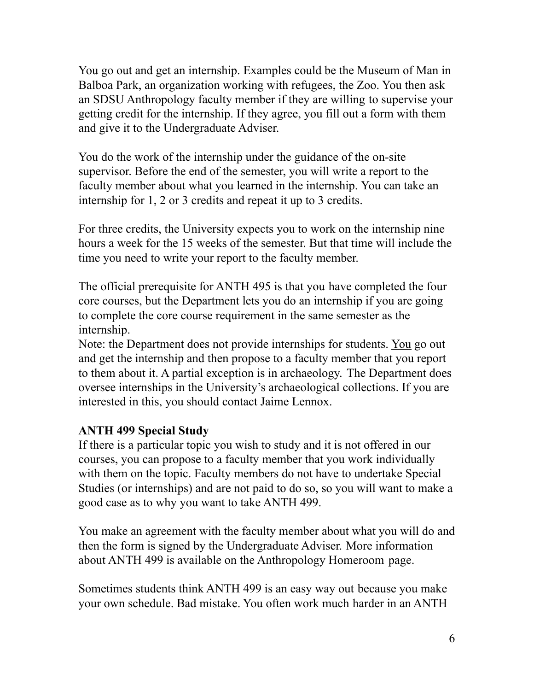You go out and get an internship. Examples could be the Museum of Man in Balboa Park, an organization working with refugees, the Zoo. You then ask an SDSU Anthropology faculty member if they are willing to supervise your getting credit for the internship. If they agree, you fill out a form with them and give it to the Undergraduate Adviser.

 You do the work of the internship under the guidance of the on-site supervisor. Before the end of the semester, you will write a report to the faculty member about what you learned in the internship. You can take an internship for 1, 2 or 3 credits and repeat it up to 3 credits.

 For three credits, the University expects you to work on the internship nine hours a week for the 15 weeks of the semester. But that time will include the time you need to write your report to the faculty member.

 The official prerequisite for ANTH 495 is that you have completed the four core courses, but the Department lets you do an internship if you are going to complete the core course requirement in the same semester as the internship.

Note: the Department does not provide internships for students. You go out and get the internship and then propose to a faculty member that you report to them about it. A partial exception is in archaeology. The Department does oversee internships in the University's archaeological collections. If you are interested in this, you should contact Jaime Lennox.

#### **ANTH 499 Special Study**

 If there is a particular topic you wish to study and it is not offered in our courses, you can propose to a faculty member that you work individually with them on the topic. Faculty members do not have to undertake Special Studies (or internships) and are not paid to do so, so you will want to make a good case as to why you want to take ANTH 499.

 You make an agreement with the faculty member about what you will do and then the form is signed by the Undergraduate Adviser. More information about ANTH 499 is available on the Anthropology Homeroom page.

 Sometimes students think ANTH 499 is an easy way out because you make your own schedule. Bad mistake. You often work much harder in an ANTH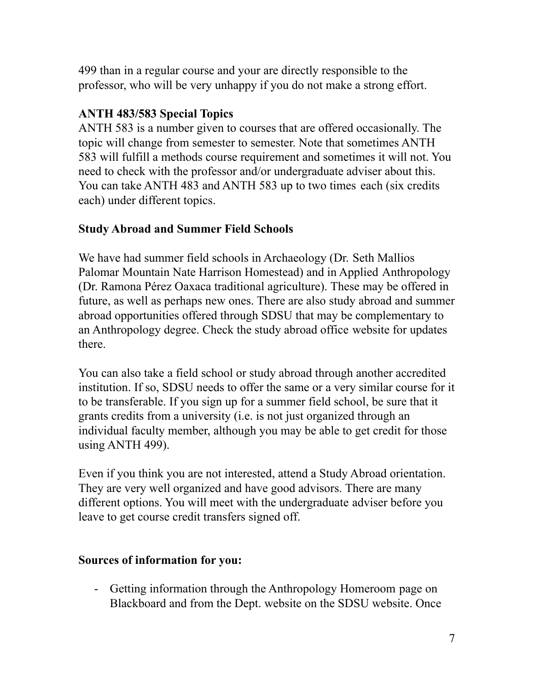499 than in a regular course and your are directly responsible to the professor, who will be very unhappy if you do not make a strong effort.

## **ANTH 483/583 Special Topics**

 ANTH 583 is a number given to courses that are offered occasionally. The topic will change from semester to semester. Note that sometimes ANTH 583 will fulfill a methods course requirement and sometimes it will not. You need to check with the professor and/or undergraduate adviser about this. You can take ANTH 483 and ANTH 583 up to two times each (six credits each) under different topics.

#### **Study Abroad and Summer Field Schools**

 We have had summer field schools in Archaeology (Dr. Seth Mallios Palomar Mountain Nate Harrison Homestead) and in Applied Anthropology (Dr. Ramona Pérez Oaxaca traditional agriculture). These may be offered in future, as well as perhaps new ones. There are also study abroad and summer abroad opportunities offered through SDSU that may be complementary to an Anthropology degree. Check the study abroad office website for updates there.

 You can also take a field school or study abroad through another accredited institution. If so, SDSU needs to offer the same or a very similar course for it to be transferable. If you sign up for a summer field school, be sure that it grants credits from a university (i.e. is not just organized through an individual faculty member, although you may be able to get credit for those using ANTH 499).

 Even if you think you are not interested, attend a Study Abroad orientation. They are very well organized and have good advisors. There are many different options. You will meet with the undergraduate adviser before you leave to get course credit transfers signed off.

#### **Sources of information for you:**

 - Getting information through the Anthropology Homeroom page on Blackboard and from the Dept. website on the SDSU website. Once